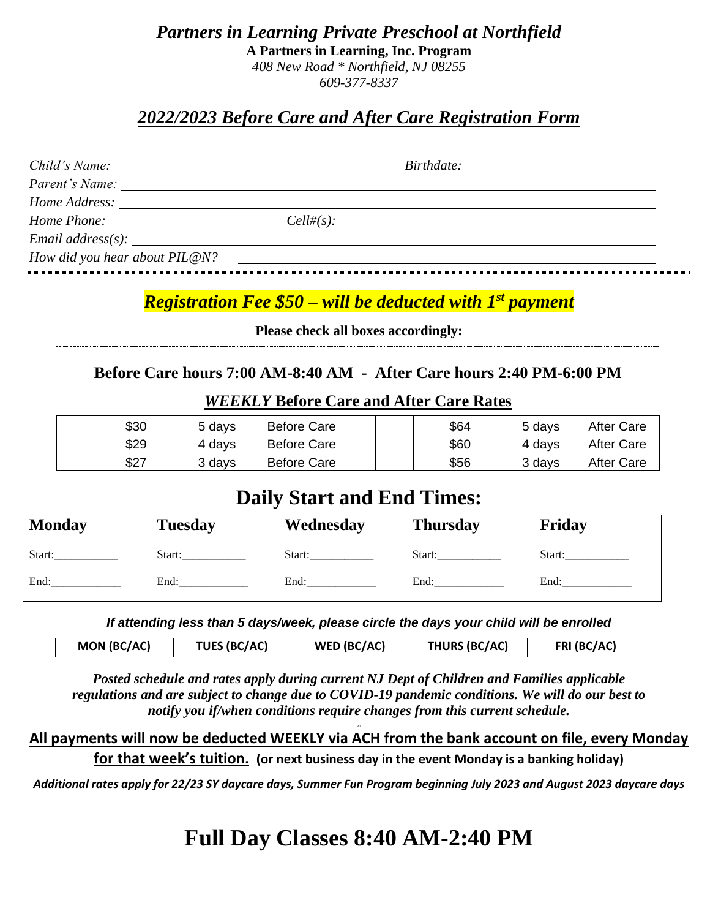*Partners in Learning Private Preschool at Northfield* **A Partners in Learning, Inc. Program** *408 New Road \* Northfield, NJ 08255 609-377-8337*

## *2022/2023 Before Care and After Care Registration Form*

| Child's Name:                 | $\textit{Birthdate:}\underline{\hspace{2.5cm}}$<br><u> 1989 - Andrea Station Barbara, amerikan personal (h. 1989)</u>                                                                                                          |  |  |
|-------------------------------|--------------------------------------------------------------------------------------------------------------------------------------------------------------------------------------------------------------------------------|--|--|
|                               | Parent's Name: 1997 Contract Contract Contract Contract Contract Contract Contract Contract Contract Contract Contract Contract Contract Contract Contract Contract Contract Contract Contract Contract Contract Contract Cont |  |  |
|                               |                                                                                                                                                                                                                                |  |  |
|                               | Home Phone:<br>Cell#(s):                                                                                                                                                                                                       |  |  |
|                               |                                                                                                                                                                                                                                |  |  |
| How did you hear about PIL@N? |                                                                                                                                                                                                                                |  |  |

## *Registration Fee \$50 – will be deducted with 1st payment*

**Please check all boxes accordingly:**

## **Before Care hours 7:00 AM-8:40 AM - After Care hours 2:40 PM-6:00 PM**

| \$30 | 5 davs | Before Care        | \$64 | 5 davs | After Care |
|------|--------|--------------------|------|--------|------------|
| \$29 | 4 davs | <b>Before Care</b> | \$60 | 4 davs | After Care |
| \$27 | 3 davs | <b>Before Care</b> | \$56 | 3 days | After Care |

#### *WEEKLY* **Before Care and After Care Rates**

# **Daily Start and End Times:**

| <b>Monday</b> | <b>Tuesday</b> | Wednesday | <b>Thursday</b> | Friday |
|---------------|----------------|-----------|-----------------|--------|
| Start:        | Start:         | Start:    | Start:          | Start: |
| End:          | End:           | End:      | End:            | End:   |

*If attending less than 5 days/week, please circle the days your child will be enrolled*

|  | MON (BC/AC) | <b>TUES (BC/AC)</b> | WED (BC/AC) | <b>THURS (BC/AC)</b> | FRI (BC/AC) |
|--|-------------|---------------------|-------------|----------------------|-------------|
|--|-------------|---------------------|-------------|----------------------|-------------|

*Posted schedule and rates apply during current NJ Dept of Children and Families applicable regulations and are subject to change due to COVID-19 pandemic conditions. We will do our best to notify you if/when conditions require changes from this current schedule.*

#### Al **All payments will now be deducted WEEKLY via ACH from the bank account on file, every Monday for that week's tuition. (or next business day in the event Monday is a banking holiday)**

*Additional rates apply for 22/23 SY daycare days, Summer Fun Program beginning July 2023 and August 2023 daycare days*

# **Full Day Classes 8:40 AM-2:40 PM**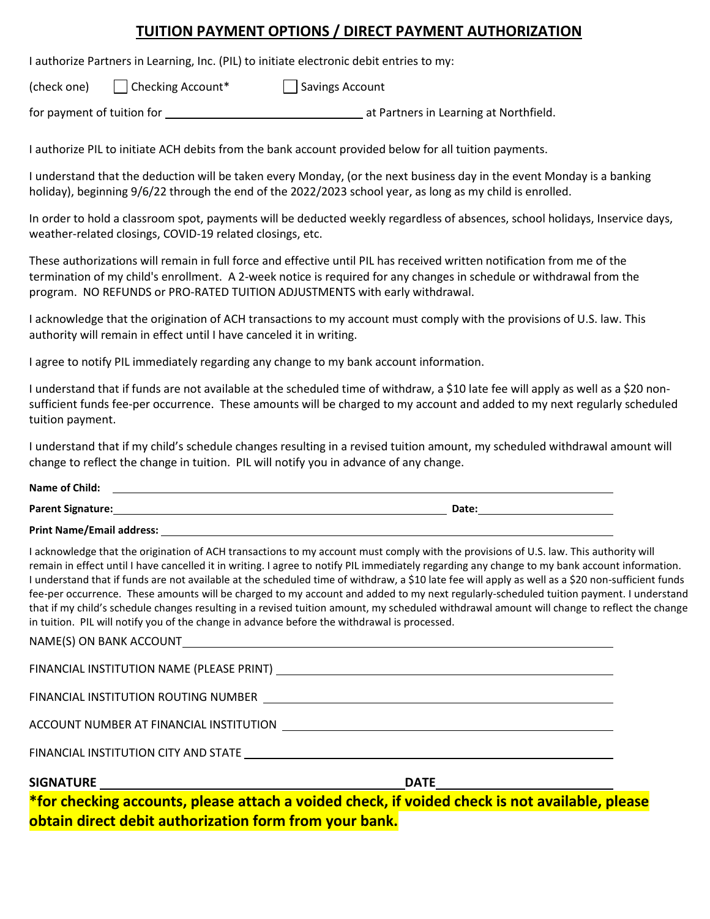## **TUITION PAYMENT OPTIONS / DIRECT PAYMENT AUTHORIZATION**

I authorize Partners in Learning, Inc. (PIL) to initiate electronic debit entries to my:

(check one)  $\Box$  Checking Account  $\Box$  Savings Account

for payment of tuition for at Partners in Learning at Northfield.

I authorize PIL to initiate ACH debits from the bank account provided below for all tuition payments.

I understand that the deduction will be taken every Monday, (or the next business day in the event Monday is a banking holiday), beginning 9/6/22 through the end of the 2022/2023 school year, as long as my child is enrolled.

In order to hold a classroom spot, payments will be deducted weekly regardless of absences, school holidays, Inservice days, weather-related closings, COVID-19 related closings, etc.

These authorizations will remain in full force and effective until PIL has received written notification from me of the termination of my child's enrollment. A 2-week notice is required for any changes in schedule or withdrawal from the program. NO REFUNDS or PRO-RATED TUITION ADJUSTMENTS with early withdrawal.

I acknowledge that the origination of ACH transactions to my account must comply with the provisions of U.S. law. This authority will remain in effect until I have canceled it in writing.

I agree to notify PIL immediately regarding any change to my bank account information.

I understand that if funds are not available at the scheduled time of withdraw, a \$10 late fee will apply as well as a \$20 nonsufficient funds fee-per occurrence. These amounts will be charged to my account and added to my next regularly scheduled tuition payment.

I understand that if my child's schedule changes resulting in a revised tuition amount, my scheduled withdrawal amount will change to reflect the change in tuition. PIL will notify you in advance of any change.

| Name of Child:           |       |
|--------------------------|-------|
| <b>Parent Signature:</b> | Date: |

**Print Name/Email address:**

I acknowledge that the origination of ACH transactions to my account must comply with the provisions of U.S. law. This authority will remain in effect until I have cancelled it in writing. I agree to notify PIL immediately regarding any change to my bank account information. I understand that if funds are not available at the scheduled time of withdraw, a \$10 late fee will apply as well as a \$20 non-sufficient funds fee-per occurrence. These amounts will be charged to my account and added to my next regularly-scheduled tuition payment. I understand that if my child's schedule changes resulting in a revised tuition amount, my scheduled withdrawal amount will change to reflect the change in tuition. PIL will notify you of the change in advance before the withdrawal is processed.

| <u>in the second contract of the second contract of the second contract of the second contract of the second contract of the second contract of the second contract of the second contract of the second contract of the second </u> | *for checking accounts, please attach a voided check, if voided check is not available, please |
|--------------------------------------------------------------------------------------------------------------------------------------------------------------------------------------------------------------------------------------|------------------------------------------------------------------------------------------------|
|                                                                                                                                                                                                                                      |                                                                                                |
| FINANCIAL INSTITUTION CITY AND STATE THE STATE STATE STATE OF STATE STATE STATE STATE STATE STATE STATE STATE STATE STATE STATE STATE STATE STATE STATE STATE STATE STATE STATE STATE STATE STATE STATE STATE STATE STATE STAT       |                                                                                                |
|                                                                                                                                                                                                                                      |                                                                                                |
| FINANCIAL INSTITUTION ROUTING NUMBER <b>And Information Contract Contract Contract Contract Contract Contract Contract Contract Contract Contract Contract Contract Contract Contract Contract Contract Contract Contract Contra</b> |                                                                                                |
|                                                                                                                                                                                                                                      |                                                                                                |
|                                                                                                                                                                                                                                      |                                                                                                |

**obtain direct debit authorization form from your bank.**